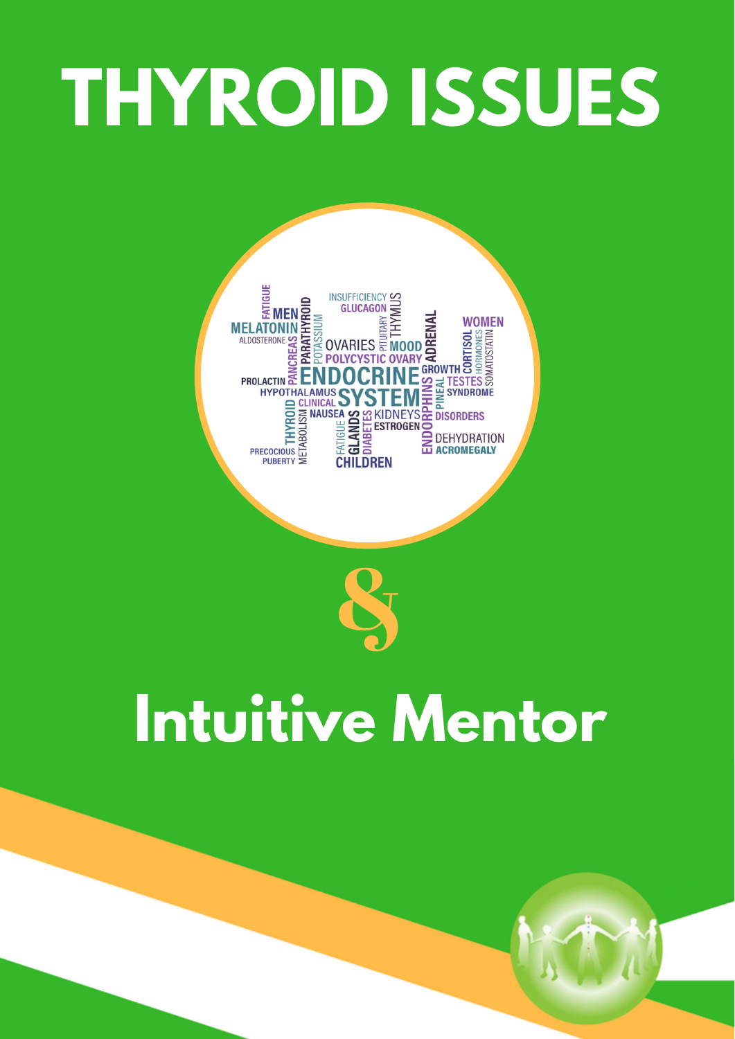# **THYROID ISSUES**



# **Intuitive Mentor**

&

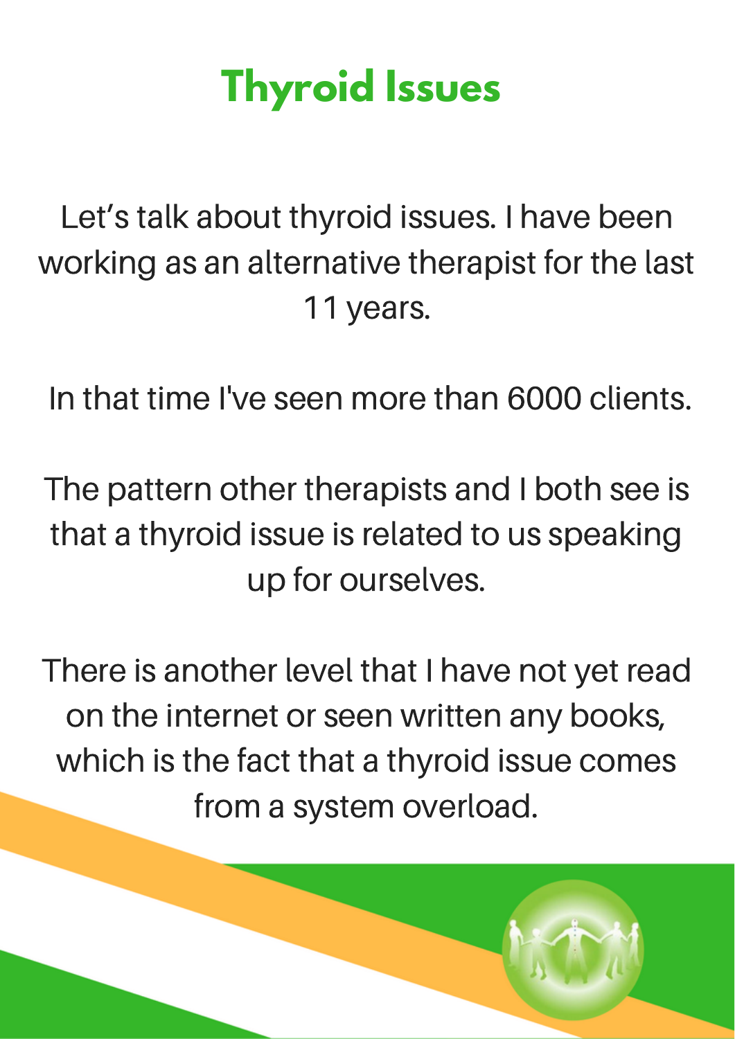## **Thyroid Issues**

Let's talk about thyroid issues. I have been working as an alternative therapist for the last 11 years.

In that time I've seen more than 6000 clients.

The pattern other therapists and I both see is that a thyroid issue is related to us speaking up for ourselves.

There is another level that I have not yet read on the internet or seen written any books, which is the fact that a thyroid issue comes from a system overload.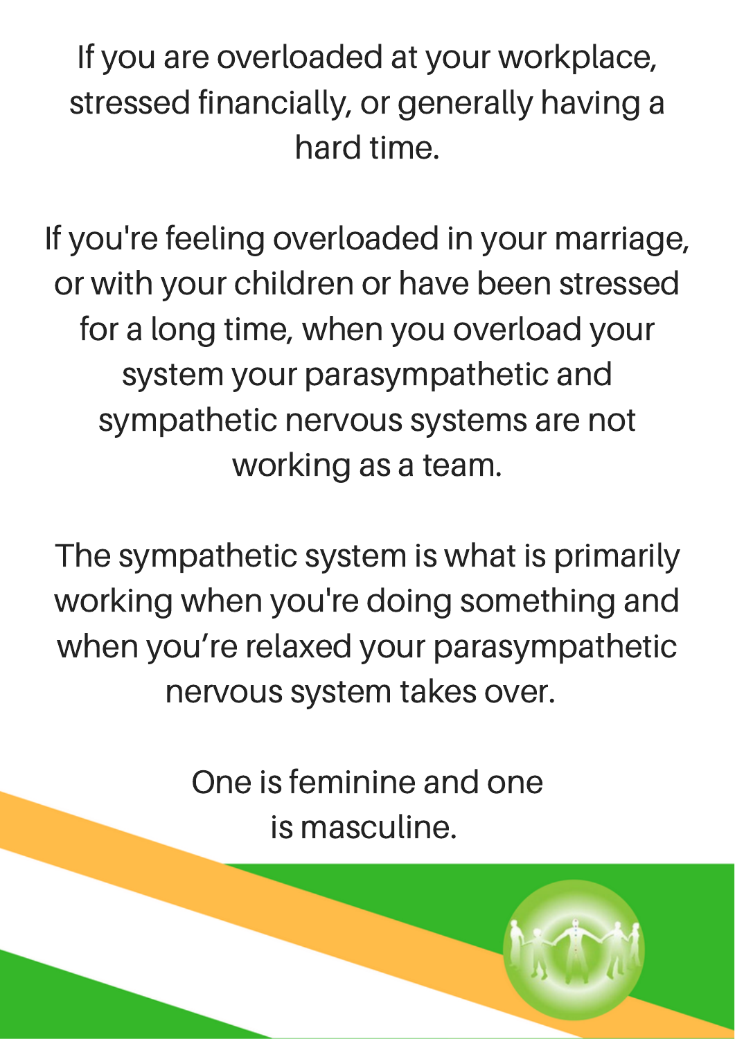If you are overloaded at your workplace, stressed financially, or generally having a hard time.

If you're feeling overloaded in your marriage, or with your children or have been stressed for a long time, when you overload your system your parasympathetic and sympathetic nervous systems are not working as a team.

The sympathetic system is what is primarily working when you're doing something and when you're relaxed your parasympathetic nervous system takes over.

> One is feminine and one is masculine.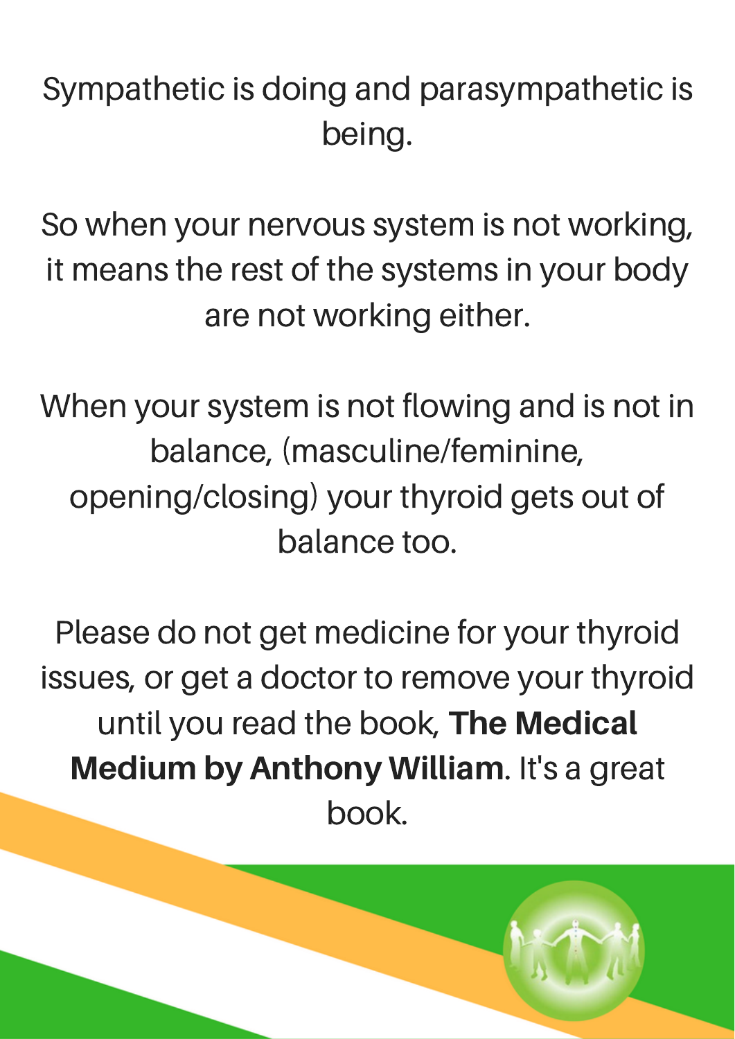Sympathetic is doing and parasympathetic is being.

So when your nervous system is not working, it means the rest of the systems in your body are not working either.

When your system is not flowing and is not in balance, (masculine/feminine, opening/closing) your thyroid gets out of balance too.

Please do not get medicine for your thyroid issues, or get a doctor to remove your thyroid until you read the book, The Medical Medium by Anthony William. It's a great book.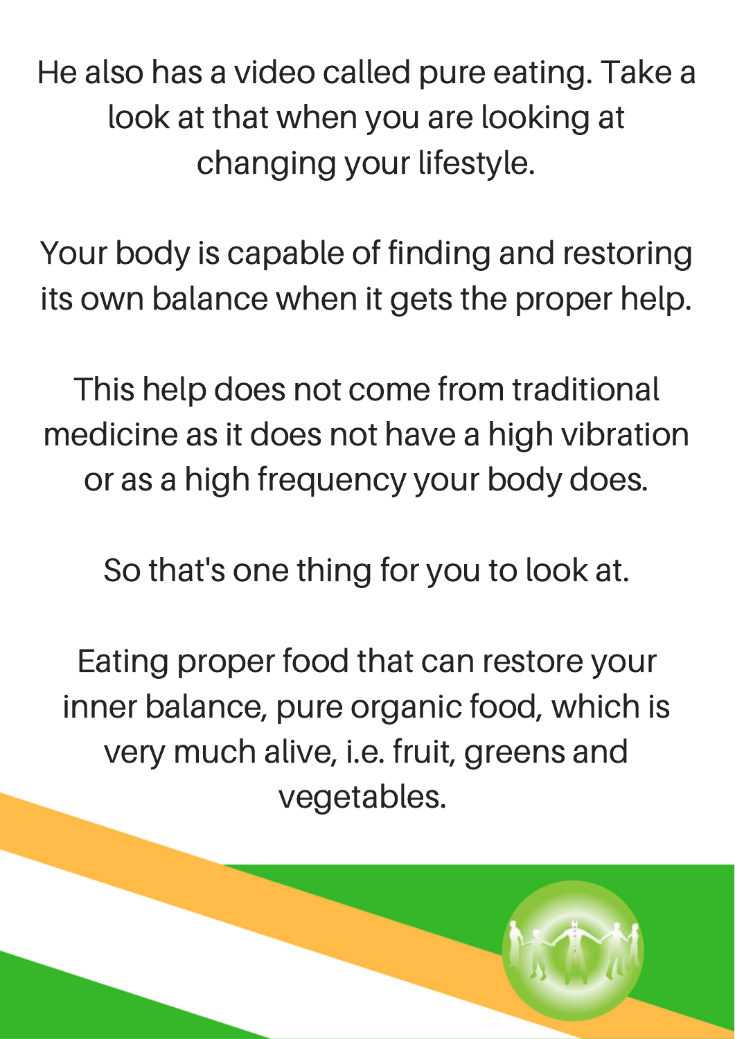He also has a video called pure eating. Take a look at that when you are looking at changing your lifestyle.

Your body is capable of finding and restoring its own balance when it gets the proper help.

This help does not come from traditional medicine as it does not have a high vibration or as a high frequency your body does.

So that's one thing for you to look at.

Eating proper food that can restore your inner balance, pure organic food, which is very much alive, i.e. fruit, greens and vegetables.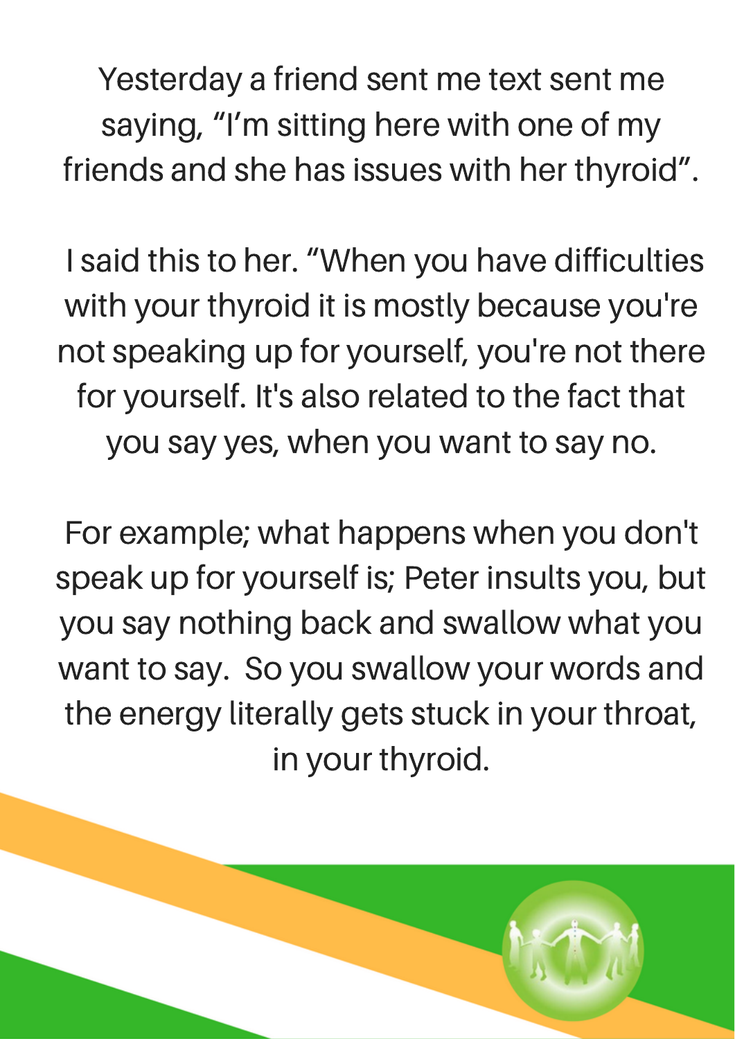Yesterday a friend sent me text sent me saying, "I'm sitting here with one of my friends and she has issues with her thyroid".

I said this to her. "When you have difficulties with your thyroid it is mostly because you're not speaking up for yourself, you're not there for yourself. It's also related to the fact that you say yes, when you want to say no.

For example; what happens when you don't speak up for yourself is; Peter insults you, but you say nothing back and swallow what you want to say. So you swallow your words and the energy literally gets stuck in your throat, in your thyroid.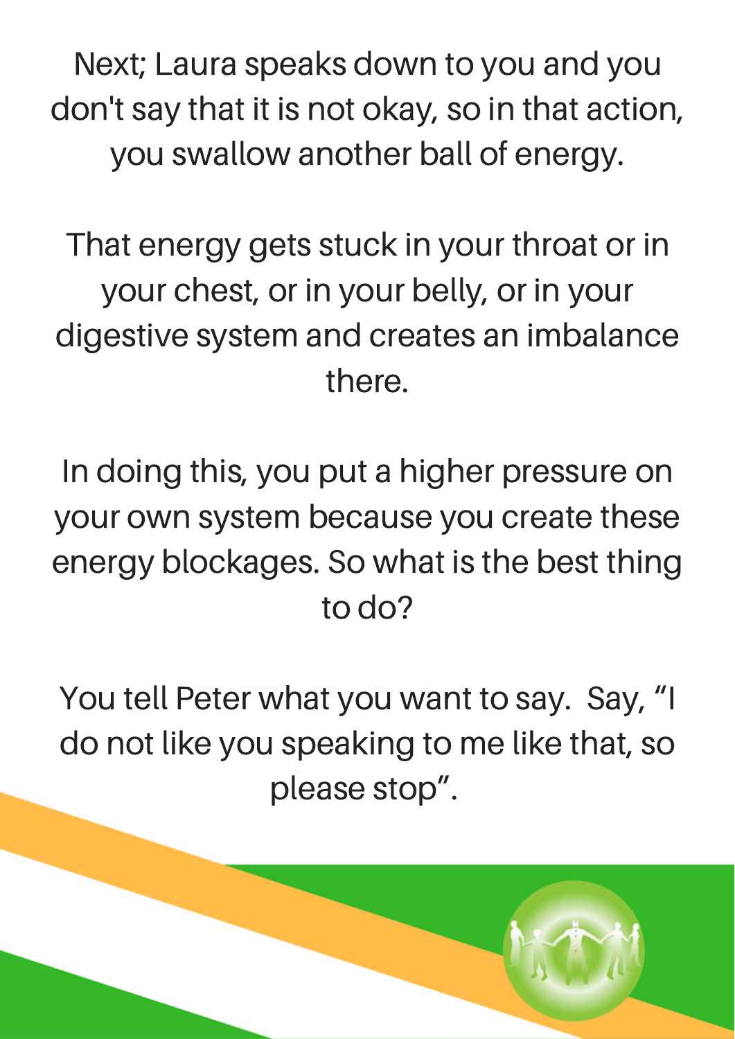Next; Laura speaks down to you and you don't say that it is not okay, so in that action, you swallow another ball of energy.

That energy gets stuck in your throat or in your chest, or in your belly, or in your digestive system and creates an imbalance there.

In doing this, you put a higher pressure on your own system because you create these energy blockages. So what is the best thing to do?

You tell Peter what you want to say. Say, "I do not like you speaking to me like that, so please stop".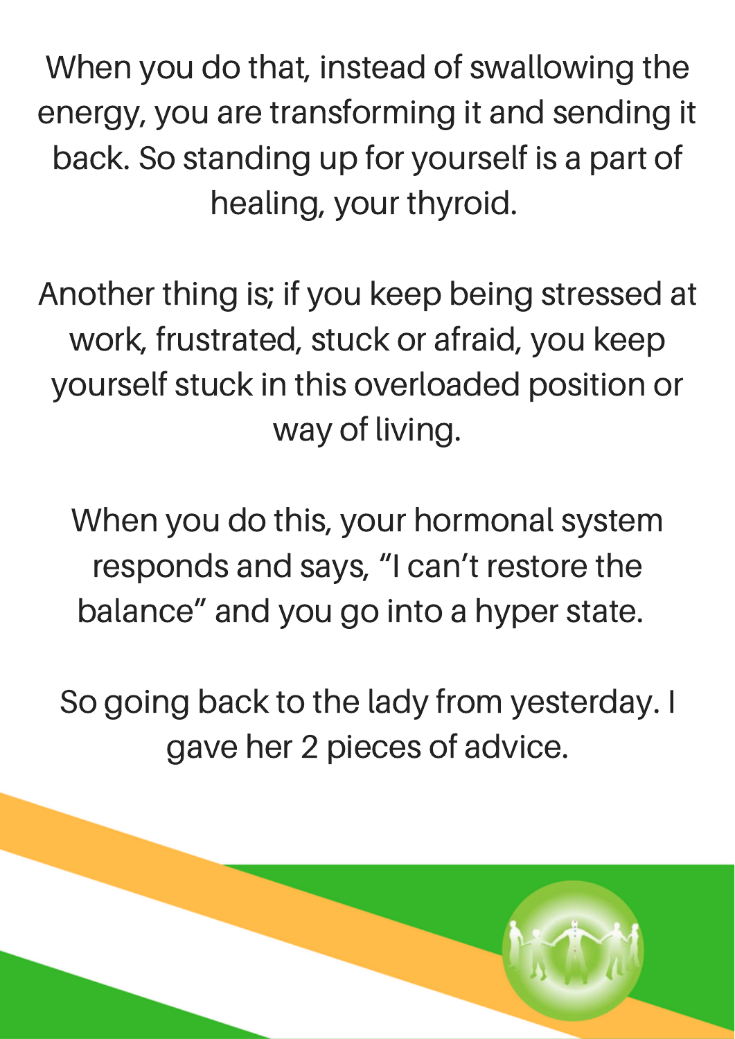When you do that, instead of swallowing the energy, you are transforming it and sending it back. So standing up for yourself is a part of healing, your thyroid.

Another thing is; if you keep being stressed at work, frustrated, stuck or afraid, you keep yourself stuck in this overloaded position or way of living.

When you do this, your hormonal system responds and says, "I can't restore the balance" and you go into a hyper state.

So going back to the lady from yesterday. I gave her 2 pieces of advice.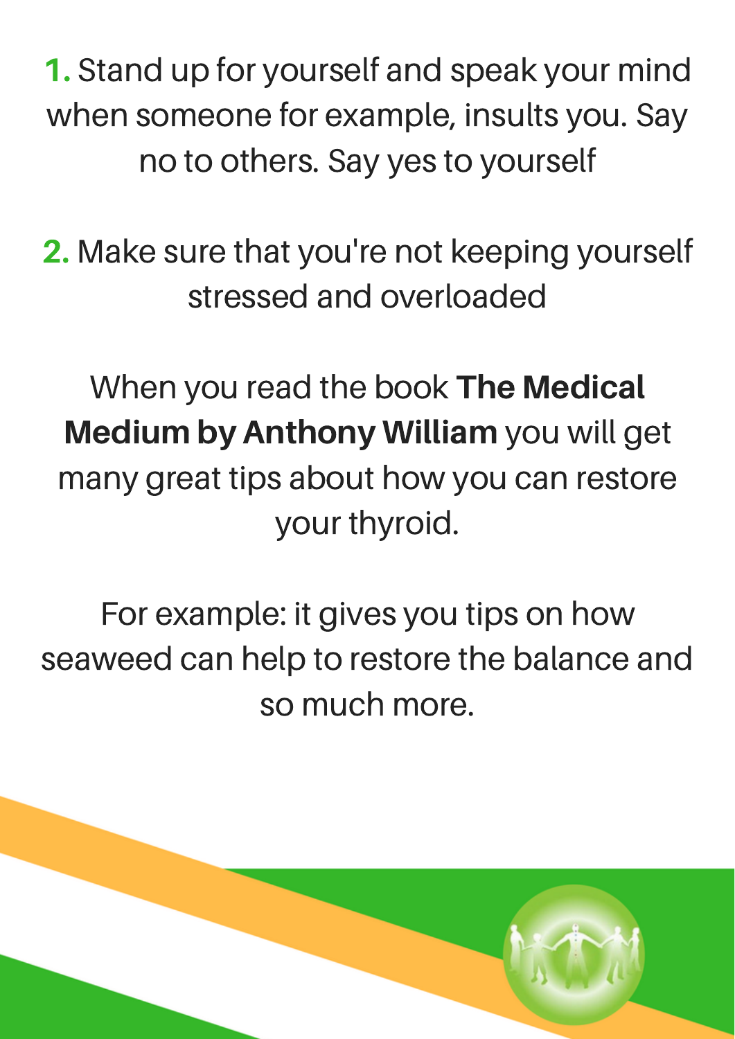1. Stand up for yourself and speak your mind when someone for example, insults you. Say no to others. Say yes to yourself

2. Make sure that you're not keeping yourself stressed and overloaded

When you read the book The Medical Medium by Anthony William you will get many great tips about how you can restore your thyroid.

For example: it gives you tips on how seaweed can help to restore the balance and so much more.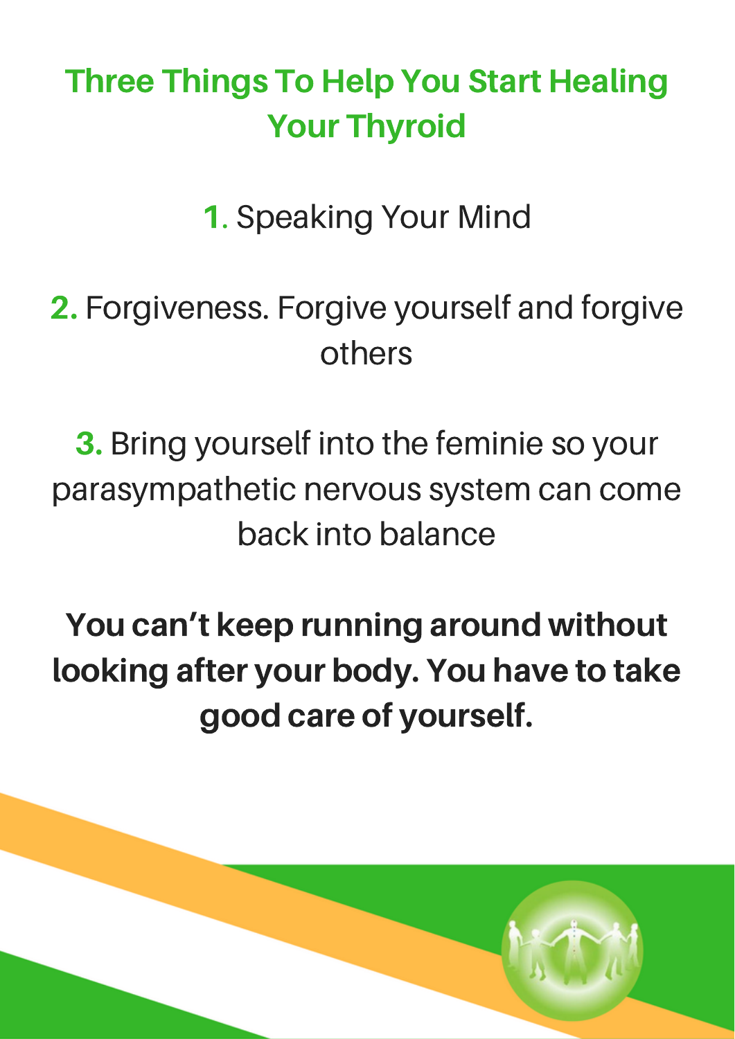### Three Things To Help You Start Healing Your Thyroid

1. Speaking Your Mind

#### 2. Forgiveness. Forgive yourself and forgive others

3. Bring yourself into the feminie so your parasympathetic nervous system can come back into balance

You can't keep running around without looking after your body. You have to take good care of yourself.